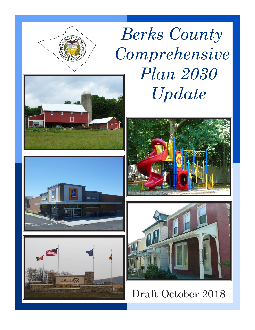

*Berks County Comprehensive Plan 2030 Update* 











Draft October 2018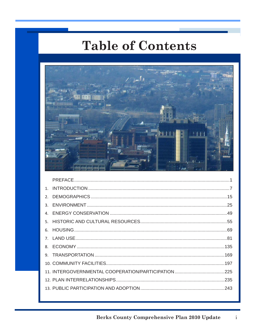## **Table of Contents**



| $2^{\circ}$ |  |
|-------------|--|
|             |  |
|             |  |
|             |  |
|             |  |
|             |  |
|             |  |
|             |  |
|             |  |
|             |  |
|             |  |
|             |  |
|             |  |

 $\mathbf{i}$